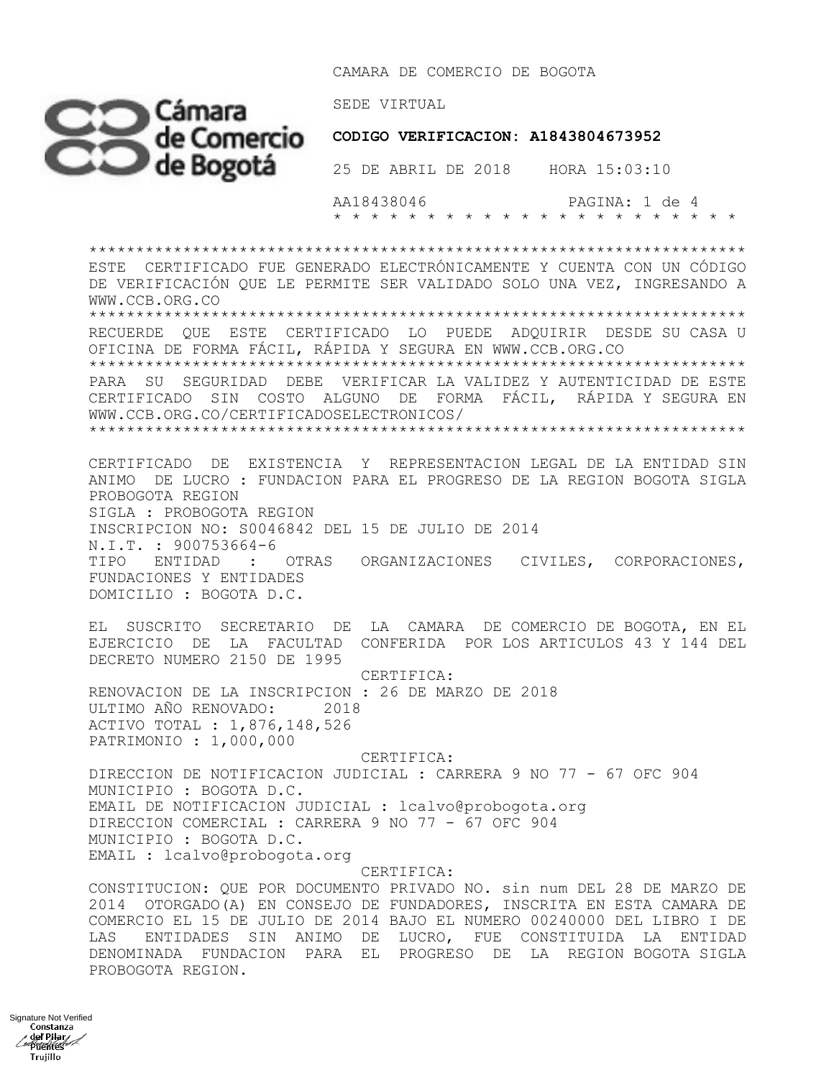CAMARA DE COMERCIO DE BOGOTA



 **CODIGO VERIFICACION: A1843804673952**

 AA18438046 PAGINA: 1 de 4 \* \* \* \* \* \* \* \* \* \* \* \* \* \* \* \* \* \* \* \* \* \*

\*\*\*\*\*\*\*\*\*\*\*\*\*\*\*\*\*\*\*\*\*\*\*\*\*\*\*\*\*\*\*\*\*\*\*\*\*\*\*\*\*\*\*\*\*\*\*\*\*\*\*\*\*\*\*\*\*\*\*\*\*\*\*\*\*\*\*\*\*\* ESTE CERTIFICADO FUE GENERADO ELECTRÓNICAMENTE Y CUENTA CON UN CÓDIGO DE VERIFICACIÓN QUE LE PERMITE SER VALIDADO SOLO UNA VEZ, INGRESANDO A WWW.CCB.ORG.CO \*\*\*\*\*\*\*\*\*\*\*\*\*\*\*\*\*\*\*\*\*\*\*\*\*\*\*\*\*\*\*\*\*\*\*\*\*\*\*\*\*\*\*\*\*\*\*\*\*\*\*\*\*\*\*\*\*\*\*\*\*\*\*\*\*\*\*\*\*\* RECUERDE QUE ESTE CERTIFICADO LO PUEDE ADQUIRIR DESDE SU CASA U OFICINA DE FORMA FÁCIL, RÁPIDA Y SEGURA EN WWW.CCB.ORG.CO \*\*\*\*\*\*\*\*\*\*\*\*\*\*\*\*\*\*\*\*\*\*\*\*\*\*\*\*\*\*\*\*\*\*\*\*\*\*\*\*\*\*\*\*\*\*\*\*\*\*\*\*\*\*\*\*\*\*\*\*\*\*\*\*\*\*\*\*\*\* PARA SU SEGURIDAD DEBE VERIFICAR LA VALIDEZ Y AUTENTICIDAD DE ESTE CERTIFICADO SIN COSTO ALGUNO DE FORMA FÁCIL, RÁPIDA Y SEGURA EN WWW.CCB.ORG.CO/CERTIFICADOSELECTRONICOS/ \*\*\*\*\*\*\*\*\*\*\*\*\*\*\*\*\*\*\*\*\*\*\*\*\*\*\*\*\*\*\*\*\*\*\*\*\*\*\*\*\*\*\*\*\*\*\*\*\*\*\*\*\*\*\*\*\*\*\*\*\*\*\*\*\*\*\*\*\*\* CERTIFICADO DE EXISTENCIA Y REPRESENTACION LEGAL DE LA ENTIDAD SIN ANIMO DE LUCRO : FUNDACION PARA EL PROGRESO DE LA REGION BOGOTA SIGLA PROBOGOTA REGION SIGLA : PROBOGOTA REGION INSCRIPCION NO: S0046842 DEL 15 DE JULIO DE 2014 N.I.T. : 900753664-6 TIPO ENTIDAD : OTRAS ORGANIZACIONES CIVILES, CORPORACIONES, FUNDACIONES Y ENTIDADES DOMICILIO : BOGOTA D.C. EL SUSCRITO SECRETARIO DE LA CAMARA DE COMERCIO DE BOGOTA, EN EL EJERCICIO DE LA FACULTAD CONFERIDA POR LOS ARTICULOS 43 Y 144 DEL DECRETO NUMERO 2150 DE 1995 CERTIFICA: RENOVACION DE LA INSCRIPCION : 26 DE MARZO DE 2018 ULTIMO AÑO RENOVADO: 2018 ACTIVO TOTAL : 1,876,148,526 PATRIMONIO : 1,000,000 CERTIFICA: DIRECCION DE NOTIFICACION JUDICIAL : CARRERA 9 NO 77 - 67 OFC 904 MUNICIPIO : BOGOTA D.C. EMAIL DE NOTIFICACION JUDICIAL : lcalvo@probogota.org DIRECCION COMERCIAL : CARRERA 9 NO 77 - 67 OFC 904 MUNICIPIO : BOGOTA D.C. EMAIL : lcalvo@probogota.org CERTIFICA: CONSTITUCION: QUE POR DOCUMENTO PRIVADO NO. sin num DEL 28 DE MARZO DE 2014 OTORGADO(A) EN CONSEJO DE FUNDADORES, INSCRITA EN ESTA CAMARA DE COMERCIO EL 15 DE JULIO DE 2014 BAJO EL NUMERO 00240000 DEL LIBRO I DE LAS ENTIDADES SIN ANIMO DE LUCRO, FUE CONSTITUIDA LA ENTIDAD DENOMINADA FUNDACION PARA EL PROGRESO DE LA REGION BOGOTA SIGLA

PROBOGOTA REGION.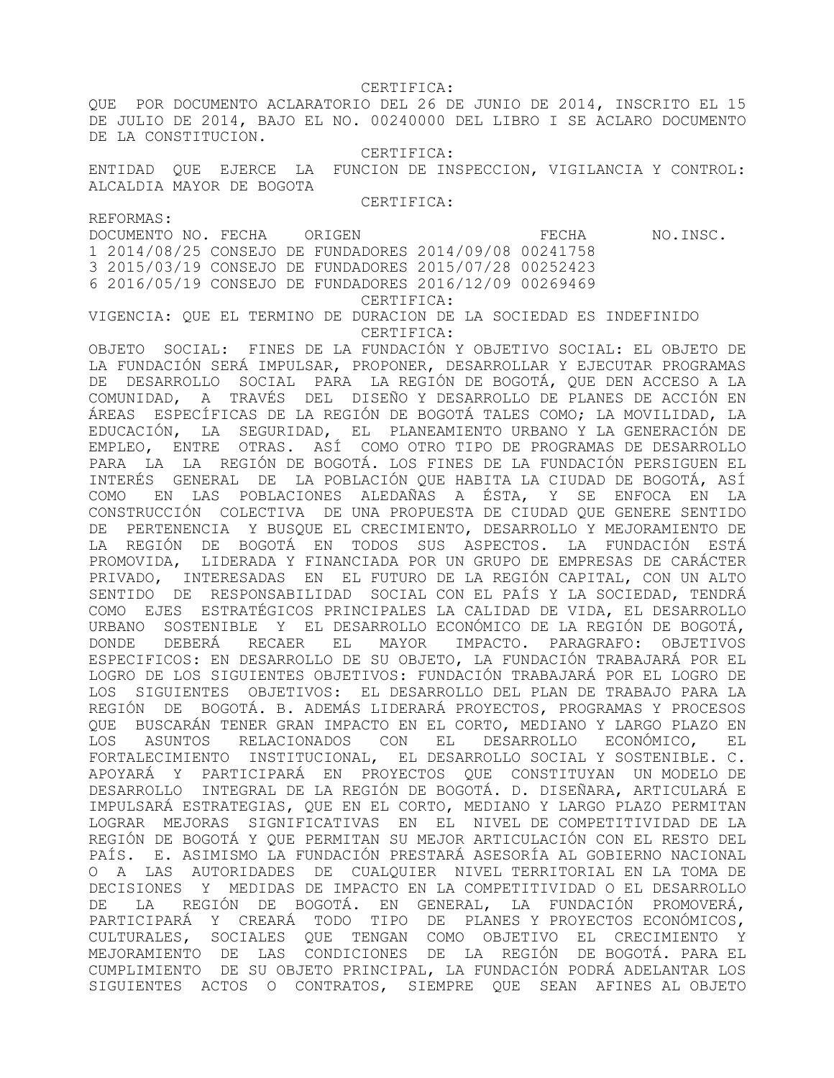CERTIFICA:

QUE POR DOCUMENTO ACLARATORIO DEL 26 DE JUNIO DE 2014, INSCRITO EL 15 DE JULIO DE 2014, BAJO EL NO. 00240000 DEL LIBRO I SE ACLARO DOCUMENTO DE LA CONSTITUCION.

CERTIFICA:

ENTIDAD QUE EJERCE LA FUNCION DE INSPECCION, VIGILANCIA Y CONTROL: ALCALDIA MAYOR DE BOGOTA

CERTIFICA:

REFORMAS:

DOCUMENTO NO. FECHA ORIGEN **EXAMPLE ORIGEN** FECHA NO.INSC.

1 2014/08/25 CONSEJO DE FUNDADORES 2014/09/08 00241758 3 2015/03/19 CONSEJO DE FUNDADORES 2015/07/28 00252423 6 2016/05/19 CONSEJO DE FUNDADORES 2016/12/09 00269469 CERTIFICA:

VIGENCIA: QUE EL TERMINO DE DURACION DE LA SOCIEDAD ES INDEFINIDO CERTIFICA:

OBJETO SOCIAL: FINES DE LA FUNDACIÓN Y OBJETIVO SOCIAL: EL OBJETO DE LA FUNDACIÓN SERÁ IMPULSAR, PROPONER, DESARROLLAR Y EJECUTAR PROGRAMAS DE DESARROLLO SOCIAL PARA LA REGIÓN DE BOGOTÁ, QUE DEN ACCESO A LA COMUNIDAD, A TRAVÉS DEL DISEÑO Y DESARROLLO DE PLANES DE ACCIÓN EN ÁREAS ESPECÍFICAS DE LA REGIÓN DE BOGOTÁ TALES COMO; LA MOVILIDAD, LA EDUCACIÓN, LA SEGURIDAD, EL PLANEAMIENTO URBANO Y LA GENERACIÓN DE EMPLEO, ENTRE OTRAS. ASÍ COMO OTRO TIPO DE PROGRAMAS DE DESARROLLO PARA LA LA REGIÓN DE BOGOTÁ. LOS FINES DE LA FUNDACIÓN PERSIGUEN EL INTERÉS GENERAL DE LA POBLACIÓN QUE HABITA LA CIUDAD DE BOGOTÁ, ASÍ COMO EN LAS POBLACIONES ALEDAÑAS A ÉSTA, Y SE ENFOCA EN LA CONSTRUCCIÓN COLECTIVA DE UNA PROPUESTA DE CIUDAD QUE GENERE SENTIDO DE PERTENENCIA Y BUSQUE EL CRECIMIENTO, DESARROLLO Y MEJORAMIENTO DE LA REGIÓN DE BOGOTÁ EN TODOS SUS ASPECTOS. LA FUNDACIÓN ESTÁ PROMOVIDA, LIDERADA Y FINANCIADA POR UN GRUPO DE EMPRESAS DE CARÁCTER PRIVADO, INTERESADAS EN EL FUTURO DE LA REGIÓN CAPITAL, CON UN ALTO SENTIDO DE RESPONSABILIDAD SOCIAL CON EL PAÍS Y LA SOCIEDAD, TENDRÁ COMO EJES ESTRATÉGICOS PRINCIPALES LA CALIDAD DE VIDA, EL DESARROLLO URBANO SOSTENIBLE Y EL DESARROLLO ECONÓMICO DE LA REGIÓN DE BOGOTÁ, DONDE DEBERÁ RECAER EL MAYOR IMPACTO. PARAGRAFO: OBJETIVOS ESPECIFICOS: EN DESARROLLO DE SU OBJETO, LA FUNDACIÓN TRABAJARÁ POR EL LOGRO DE LOS SIGUIENTES OBJETIVOS: FUNDACIÓN TRABAJARÁ POR EL LOGRO DE LOS SIGUIENTES OBJETIVOS: EL DESARROLLO DEL PLAN DE TRABAJO PARA LA REGIÓN DE BOGOTÁ. B. ADEMÁS LIDERARÁ PROYECTOS, PROGRAMAS Y PROCESOS QUE BUSCARÁN TENER GRAN IMPACTO EN EL CORTO, MEDIANO Y LARGO PLAZO EN LOS ASUNTOS RELACIONADOS CON EL DESARROLLO ECONÓMICO, EL FORTALECIMIENTO INSTITUCIONAL, EL DESARROLLO SOCIAL Y SOSTENIBLE. C. APOYARÁ Y PARTICIPARÁ EN PROYECTOS QUE CONSTITUYAN UN MODELO DE DESARROLLO INTEGRAL DE LA REGIÓN DE BOGOTÁ. D. DISEÑARA, ARTICULARÁ E IMPULSARÁ ESTRATEGIAS, QUE EN EL CORTO, MEDIANO Y LARGO PLAZO PERMITAN LOGRAR MEJORAS SIGNIFICATIVAS EN EL NIVEL DE COMPETITIVIDAD DE LA REGIÓN DE BOGOTÁ Y QUE PERMITAN SU MEJOR ARTICULACIÓN CON EL RESTO DEL PAÍS. E. ASIMISMO LA FUNDACIÓN PRESTARÁ ASESORÍA AL GOBIERNO NACIONAL O A LAS AUTORIDADES DE CUALQUIER NIVEL TERRITORIAL EN LA TOMA DE DECISIONES Y MEDIDAS DE IMPACTO EN LA COMPETITIVIDAD O EL DESARROLLO DE LA REGIÓN DE BOGOTÁ. EN GENERAL, LA FUNDACIÓN PROMOVERÁ, PARTICIPARÁ Y CREARÁ TODO TIPO DE PLANES Y PROYECTOS ECONÓMICOS, CULTURALES, SOCIALES QUE TENGAN COMO OBJETIVO EL CRECIMIENTO Y MEJORAMIENTO DE LAS CONDICIONES DE LA REGIÓN DE BOGOTÁ. PARA EL CUMPLIMIENTO DE SU OBJETO PRINCIPAL, LA FUNDACIÓN PODRÁ ADELANTAR LOS SIGUIENTES ACTOS O CONTRATOS, SIEMPRE QUE SEAN AFINES AL OBJETO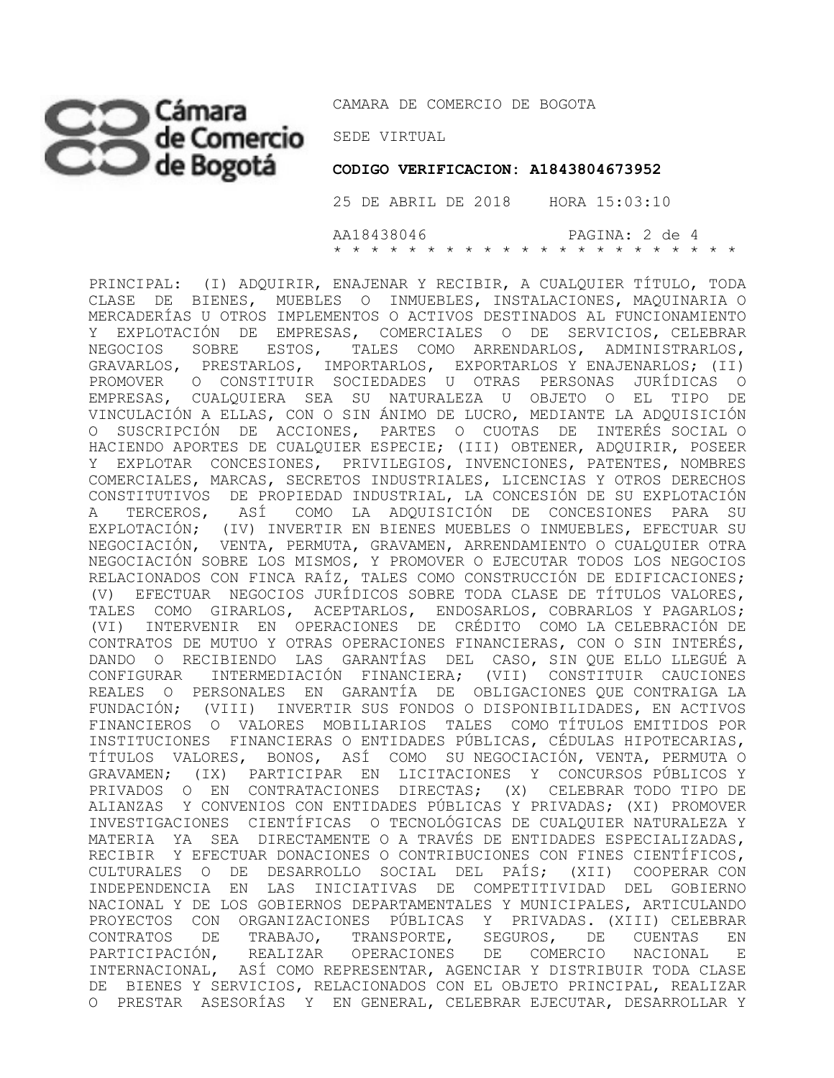# CO Cámara CAMARA DE COI

CAMARA DE COMERCIO DE BOGOTA

 **CODIGO VERIFICACION: A1843804673952**

 25 DE ABRIL DE 2018 HORA 15:03:10 AA18438046 PAGINA: 2 de 4 \* \* \* \* \* \* \* \* \* \* \* \* \* \* \* \* \* \* \* \* \* \*

PRINCIPAL: (I) ADQUIRIR, ENAJENAR Y RECIBIR, A CUALQUIER TÍTULO, TODA CLASE DE BIENES, MUEBLES O INMUEBLES, INSTALACIONES, MAQUINARIA O MERCADERÍAS U OTROS IMPLEMENTOS O ACTIVOS DESTINADOS AL FUNCIONAMIENTO Y EXPLOTACIÓN DE EMPRESAS, COMERCIALES O DE SERVICIOS, CELEBRAR NEGOCIOS SOBRE ESTOS, TALES COMO ARRENDARLOS, ADMINISTRARLOS, GRAVARLOS, PRESTARLOS, IMPORTARLOS, EXPORTARLOS Y ENAJENARLOS; (II) PROMOVER O CONSTITUIR SOCIEDADES U OTRAS PERSONAS JURÍDICAS O EMPRESAS, CUALQUIERA SEA SU NATURALEZA U OBJETO O EL TIPO DE VINCULACIÓN A ELLAS, CON O SIN ÁNIMO DE LUCRO, MEDIANTE LA ADQUISICIÓN O SUSCRIPCIÓN DE ACCIONES, PARTES O CUOTAS DE INTERÉS SOCIAL O HACIENDO APORTES DE CUALQUIER ESPECIE; (III) OBTENER, ADQUIRIR, POSEER Y EXPLOTAR CONCESIONES, PRIVILEGIOS, INVENCIONES, PATENTES, NOMBRES COMERCIALES, MARCAS, SECRETOS INDUSTRIALES, LICENCIAS Y OTROS DERECHOS CONSTITUTIVOS DE PROPIEDAD INDUSTRIAL, LA CONCESIÓN DE SU EXPLOTACIÓN A TERCEROS, ASÍ COMO LA ADQUISICIÓN DE CONCESIONES PARA SU EXPLOTACIÓN; (IV) INVERTIR EN BIENES MUEBLES O INMUEBLES, EFECTUAR SU NEGOCIACIÓN, VENTA, PERMUTA, GRAVAMEN, ARRENDAMIENTO O CUALQUIER OTRA NEGOCIACIÓN SOBRE LOS MISMOS, Y PROMOVER O EJECUTAR TODOS LOS NEGOCIOS RELACIONADOS CON FINCA RAÍZ, TALES COMO CONSTRUCCIÓN DE EDIFICACIONES; (V) EFECTUAR NEGOCIOS JURÍDICOS SOBRE TODA CLASE DE TÍTULOS VALORES, TALES COMO GIRARLOS, ACEPTARLOS, ENDOSARLOS, COBRARLOS Y PAGARLOS; (VI) INTERVENIR EN OPERACIONES DE CRÉDITO COMO LA CELEBRACIÓN DE CONTRATOS DE MUTUO Y OTRAS OPERACIONES FINANCIERAS, CON O SIN INTERÉS, DANDO O RECIBIENDO LAS GARANTÍAS DEL CASO, SIN QUE ELLO LLEGUÉ A CONFIGURAR INTERMEDIACIÓN FINANCIERA; (VII) CONSTITUIR CAUCIONES REALES O PERSONALES EN GARANTÍA DE OBLIGACIONES QUE CONTRAIGA LA FUNDACIÓN; (VIII) INVERTIR SUS FONDOS O DISPONIBILIDADES, EN ACTIVOS FINANCIEROS O VALORES MOBILIARIOS TALES COMO TÍTULOS EMITIDOS POR INSTITUCIONES FINANCIERAS O ENTIDADES PÚBLICAS, CÉDULAS HIPOTECARIAS, TÍTULOS VALORES, BONOS, ASÍ COMO SU NEGOCIACIÓN, VENTA, PERMUTA O GRAVAMEN; (IX) PARTICIPAR EN LICITACIONES Y CONCURSOS PÚBLICOS Y PRIVADOS O EN CONTRATACIONES DIRECTAS; (X) CELEBRAR TODO TIPO DE ALIANZAS Y CONVENIOS CON ENTIDADES PÚBLICAS Y PRIVADAS; (XI) PROMOVER INVESTIGACIONES CIENTÍFICAS O TECNOLÓGICAS DE CUALQUIER NATURALEZA Y MATERIA YA SEA DIRECTAMENTE O A TRAVÉS DE ENTIDADES ESPECIALIZADAS, RECIBIR Y EFECTUAR DONACIONES O CONTRIBUCIONES CON FINES CIENTÍFICOS, CULTURALES O DE DESARROLLO SOCIAL DEL PAÍS; (XII) COOPERAR CON INDEPENDENCIA EN LAS INICIATIVAS DE COMPETITIVIDAD DEL GOBIERNO NACIONAL Y DE LOS GOBIERNOS DEPARTAMENTALES Y MUNICIPALES, ARTICULANDO PROYECTOS CON ORGANIZACIONES PÚBLICAS Y PRIVADAS. (XIII) CELEBRAR CONTRATOS DE TRABAJO, TRANSPORTE, SEGUROS, DE CUENTAS EN PARTICIPACIÓN, REALIZAR OPERACIONES DE COMERCIO NACIONAL E INTERNACIONAL, ASÍ COMO REPRESENTAR, AGENCIAR Y DISTRIBUIR TODA CLASE DE BIENES Y SERVICIOS, RELACIONADOS CON EL OBJETO PRINCIPAL, REALIZAR O PRESTAR ASESORÍAS Y EN GENERAL, CELEBRAR EJECUTAR, DESARROLLAR Y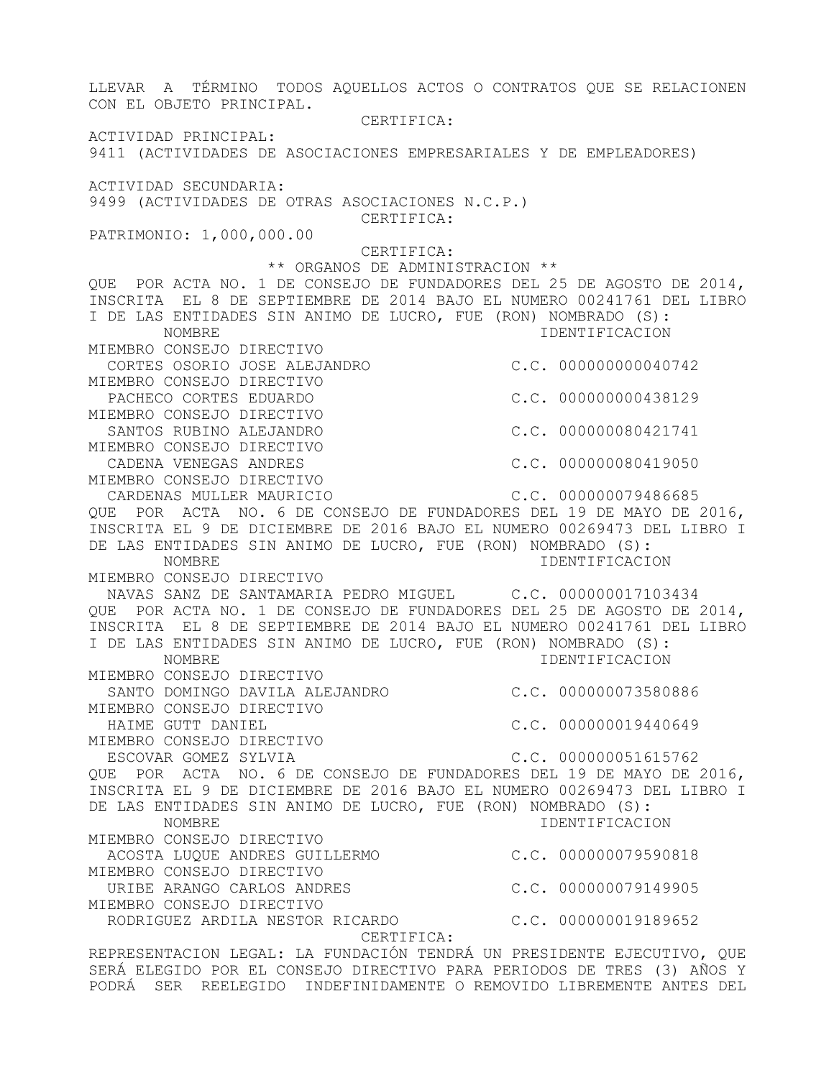LLEVAR A TÉRMINO TODOS AQUELLOS ACTOS O CONTRATOS QUE SE RELACIONEN CON EL OBJETO PRINCIPAL. CERTIFICA: ACTIVIDAD PRINCIPAL: 9411 (ACTIVIDADES DE ASOCIACIONES EMPRESARIALES Y DE EMPLEADORES) ACTIVIDAD SECUNDARIA: 9499 (ACTIVIDADES DE OTRAS ASOCIACIONES N.C.P.) CERTIFICA: PATRIMONIO: 1,000,000.00 CERTIFICA: \*\* ORGANOS DE ADMINISTRACION \*\* QUE POR ACTA NO. 1 DE CONSEJO DE FUNDADORES DEL 25 DE AGOSTO DE 2014, INSCRITA EL 8 DE SEPTIEMBRE DE 2014 BAJO EL NUMERO 00241761 DEL LIBRO I DE LAS ENTIDADES SIN ANIMO DE LUCRO, FUE (RON) NOMBRADO (S): NOMBRE IDENTIFICACION MIEMBRO CONSEJO DIRECTIVO CORTES OSORIO JOSE ALEJANDRO C.C. 000000000040742 MIEMBRO CONSEJO DIRECTIVO PACHECO CORTES EDUARDO C.C. 000000000438129 MIEMBRO CONSEJO DIRECTIVO SANTOS RUBINO ALEJANDRO  $C.C. 000000080421741$ MIEMBRO CONSEJO DIRECTIVO CADENA VENEGAS ANDRES (C.C. 000000080419050 MIEMBRO CONSEJO DIRECTIVO CARDENAS MULLER MAURICIO C.C. 000000079486685 QUE POR ACTA NO. 6 DE CONSEJO DE FUNDADORES DEL 19 DE MAYO DE 2016, INSCRITA EL 9 DE DICIEMBRE DE 2016 BAJO EL NUMERO 00269473 DEL LIBRO I DE LAS ENTIDADES SIN ANIMO DE LUCRO, FUE (RON) NOMBRADO (S): NOMBRE IDENTIFICACION MIEMBRO CONSEJO DIRECTIVO NAVAS SANZ DE SANTAMARIA PEDRO MIGUEL C.C. 000000017103434 QUE POR ACTA NO. 1 DE CONSEJO DE FUNDADORES DEL 25 DE AGOSTO DE 2014, INSCRITA EL 8 DE SEPTIEMBRE DE 2014 BAJO EL NUMERO 00241761 DEL LIBRO I DE LAS ENTIDADES SIN ANIMO DE LUCRO, FUE (RON) NOMBRADO (S): IDENTIFICACION MIEMBRO CONSEJO DIRECTIVO SANTO DOMINGO DAVILA ALEJANDRO C.C. 000000073580886 MIEMBRO CONSEJO DIRECTIVO HAIME GUTT DANIEL **C.C. 000000019440649** MIEMBRO CONSEJO DIRECTIVO ESCOVAR GOMEZ SYLVIA  $C.C. 000000051615762$ QUE POR ACTA NO. 6 DE CONSEJO DE FUNDADORES DEL 19 DE MAYO DE 2016, INSCRITA EL 9 DE DICIEMBRE DE 2016 BAJO EL NUMERO 00269473 DEL LIBRO I DE LAS ENTIDADES SIN ANIMO DE LUCRO, FUE (RON) NOMBRADO (S): NOMBRE IDENTIFICACION MIEMBRO CONSEJO DIRECTIVO ACOSTA LUQUE ANDRES GUILLERMO C.C. 000000079590818 MIEMBRO CONSEJO DIRECTIVO URIBE ARANGO CARLOS ANDRES C.C. 000000079149905 MIEMBRO CONSEJO DIRECTIVO RODRIGUEZ ARDILA NESTOR RICARDO C.C. 000000019189652 CERTIFICA: REPRESENTACION LEGAL: LA FUNDACIÓN TENDRÁ UN PRESIDENTE EJECUTIVO, QUE SERÁ ELEGIDO POR EL CONSEJO DIRECTIVO PARA PERIODOS DE TRES (3) AÑOS Y PODRÁ SER REELEGIDO INDEFINIDAMENTE O REMOVIDO LIBREMENTE ANTES DEL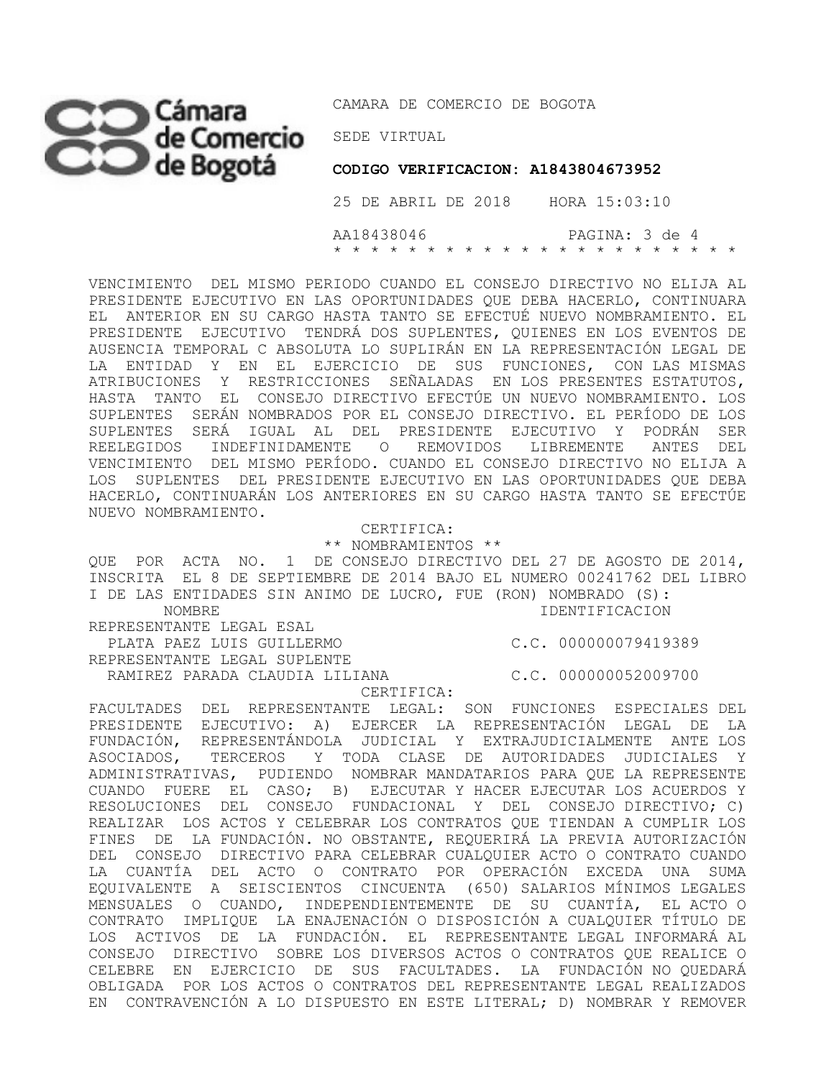## SEDE VIRTUAL

CAMARA DE COMERCIO DE BOGOTA

 **CODIGO VERIFICACION: A1843804673952**

 25 DE ABRIL DE 2018 HORA 15:03:10 AA18438046 PAGINA: 3 de 4 \* \* \* \* \* \* \* \* \* \* \* \* \* \* \* \* \* \* \* \* \* \*

VENCIMIENTO DEL MISMO PERIODO CUANDO EL CONSEJO DIRECTIVO NO ELIJA AL PRESIDENTE EJECUTIVO EN LAS OPORTUNIDADES QUE DEBA HACERLO, CONTINUARA EL ANTERIOR EN SU CARGO HASTA TANTO SE EFECTUÉ NUEVO NOMBRAMIENTO. EL PRESIDENTE EJECUTIVO TENDRÁ DOS SUPLENTES, QUIENES EN LOS EVENTOS DE AUSENCIA TEMPORAL C ABSOLUTA LO SUPLIRÁN EN LA REPRESENTACIÓN LEGAL DE LA ENTIDAD Y EN EL EJERCICIO DE SUS FUNCIONES, CON LAS MISMAS ATRIBUCIONES Y RESTRICCIONES SEÑALADAS EN LOS PRESENTES ESTATUTOS, HASTA TANTO EL CONSEJO DIRECTIVO EFECTÚE UN NUEVO NOMBRAMIENTO. LOS SUPLENTES SERÁN NOMBRADOS POR EL CONSEJO DIRECTIVO. EL PERÍODO DE LOS SUPLENTES SERÁ IGUAL AL DEL PRESIDENTE EJECUTIVO Y PODRÁN SER REELEGIDOS INDEFINIDAMENTE O REMOVIDOS LIBREMENTE ANTES DEL VENCIMIENTO DEL MISMO PERÍODO. CUANDO EL CONSEJO DIRECTIVO NO ELIJA A LOS SUPLENTES DEL PRESIDENTE EJECUTIVO EN LAS OPORTUNIDADES QUE DEBA HACERLO, CONTINUARÁN LOS ANTERIORES EN SU CARGO HASTA TANTO SE EFECTÚE NUEVO NOMBRAMIENTO.

> CERTIFICA: \*\* NOMBRAMIENTOS \*\*

QUE POR ACTA NO. 1 DE CONSEJO DIRECTIVO DEL 27 DE AGOSTO DE 2014, INSCRITA EL 8 DE SEPTIEMBRE DE 2014 BAJO EL NUMERO 00241762 DEL LIBRO I DE LAS ENTIDADES SIN ANIMO DE LUCRO, FUE (RON) NOMBRADO (S): NOMBRE IDENTIFICACION REPRESENTANTE LEGAL ESAL

 PLATA PAEZ LUIS GUILLERMO C.C. 000000079419389 REPRESENTANTE LEGAL SUPLENTE

RAMIREZ PARADA CLAUDIA LILIANA C.C. 000000052009700

CERTIFICA:

FACULTADES DEL REPRESENTANTE LEGAL: SON FUNCIONES ESPECIALES DEL PRESIDENTE EJECUTIVO: A) EJERCER LA REPRESENTACIÓN LEGAL DE LA FUNDACIÓN, REPRESENTÁNDOLA JUDICIAL Y EXTRAJUDICIALMENTE ANTE LOS ASOCIADOS, TERCEROS Y TODA CLASE DE AUTORIDADES JUDICIALES Y ADMINISTRATIVAS, PUDIENDO NOMBRAR MANDATARIOS PARA QUE LA REPRESENTE CUANDO FUERE EL CASO; B) EJECUTAR Y HACER EJECUTAR LOS ACUERDOS Y RESOLUCIONES DEL CONSEJO FUNDACIONAL Y DEL CONSEJO DIRECTIVO; C) REALIZAR LOS ACTOS Y CELEBRAR LOS CONTRATOS QUE TIENDAN A CUMPLIR LOS FINES DE LA FUNDACIÓN. NO OBSTANTE, REQUERIRÁ LA PREVIA AUTORIZACIÓN DEL CONSEJO DIRECTIVO PARA CELEBRAR CUALQUIER ACTO O CONTRATO CUANDO LA CUANTÍA DEL ACTO O CONTRATO POR OPERACIÓN EXCEDA UNA SUMA EQUIVALENTE A SEISCIENTOS CINCUENTA (650) SALARIOS MÍNIMOS LEGALES MENSUALES O CUANDO, INDEPENDIENTEMENTE DE SU CUANTÍA, EL ACTO O CONTRATO IMPLIQUE LA ENAJENACIÓN O DISPOSICIÓN A CUALQUIER TÍTULO DE LOS ACTIVOS DE LA FUNDACIÓN. EL REPRESENTANTE LEGAL INFORMARÁ AL CONSEJO DIRECTIVO SOBRE LOS DIVERSOS ACTOS O CONTRATOS QUE REALICE O CELEBRE EN EJERCICIO DE SUS FACULTADES. LA FUNDACIÓN NO QUEDARÁ OBLIGADA POR LOS ACTOS O CONTRATOS DEL REPRESENTANTE LEGAL REALIZADOS EN CONTRAVENCIÓN A LO DISPUESTO EN ESTE LITERAL; D) NOMBRAR Y REMOVER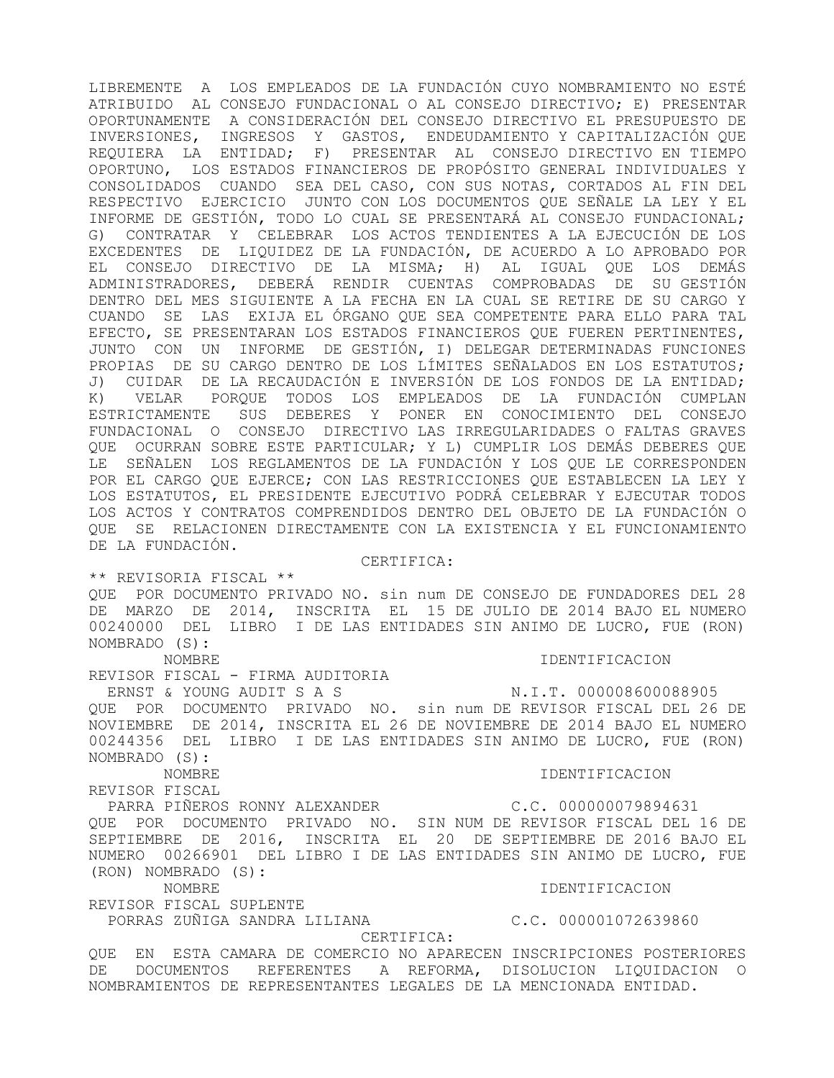LIBREMENTE A LOS EMPLEADOS DE LA FUNDACIÓN CUYO NOMBRAMIENTO NO ESTÉ ATRIBUIDO AL CONSEJO FUNDACIONAL O AL CONSEJO DIRECTIVO; E) PRESENTAR OPORTUNAMENTE A CONSIDERACIÓN DEL CONSEJO DIRECTIVO EL PRESUPUESTO DE INVERSIONES, INGRESOS Y GASTOS, ENDEUDAMIENTO Y CAPITALIZACIÓN QUE REQUIERA LA ENTIDAD; F) PRESENTAR AL CONSEJO DIRECTIVO EN TIEMPO OPORTUNO, LOS ESTADOS FINANCIEROS DE PROPÓSITO GENERAL INDIVIDUALES Y CONSOLIDADOS CUANDO SEA DEL CASO, CON SUS NOTAS, CORTADOS AL FIN DEL RESPECTIVO EJERCICIO JUNTO CON LOS DOCUMENTOS QUE SEÑALE LA LEY Y EL INFORME DE GESTIÓN, TODO LO CUAL SE PRESENTARÁ AL CONSEJO FUNDACIONAL; G) CONTRATAR Y CELEBRAR LOS ACTOS TENDIENTES A LA EJECUCIÓN DE LOS EXCEDENTES DE LIQUIDEZ DE LA FUNDACIÓN, DE ACUERDO A LO APROBADO POR EL CONSEJO DIRECTIVO DE LA MISMA; H) AL IGUAL QUE LOS DEMÁS ADMINISTRADORES, DEBERÁ RENDIR CUENTAS COMPROBADAS DE SU GESTIÓN DENTRO DEL MES SIGUIENTE A LA FECHA EN LA CUAL SE RETIRE DE SU CARGO Y CUANDO SE LAS EXIJA EL ÓRGANO QUE SEA COMPETENTE PARA ELLO PARA TAL EFECTO, SE PRESENTARAN LOS ESTADOS FINANCIEROS QUE FUEREN PERTINENTES, JUNTO CON UN INFORME DE GESTIÓN, I) DELEGAR DETERMINADAS FUNCIONES PROPIAS DE SU CARGO DENTRO DE LOS LÍMITES SEÑALADOS EN LOS ESTATUTOS; J) CUIDAR DE LA RECAUDACIÓN E INVERSIÓN DE LOS FONDOS DE LA ENTIDAD; K) VELAR PORQUE TODOS LOS EMPLEADOS DE LA FUNDACIÓN CUMPLAN ESTRICTAMENTE SUS DEBERES Y PONER EN CONOCIMIENTO DEL CONSEJO FUNDACIONAL O CONSEJO DIRECTIVO LAS IRREGULARIDADES O FALTAS GRAVES QUE OCURRAN SOBRE ESTE PARTICULAR; Y L) CUMPLIR LOS DEMÁS DEBERES QUE LE SEÑALEN LOS REGLAMENTOS DE LA FUNDACIÓN Y LOS QUE LE CORRESPONDEN POR EL CARGO QUE EJERCE; CON LAS RESTRICCIONES QUE ESTABLECEN LA LEY Y LOS ESTATUTOS, EL PRESIDENTE EJECUTIVO PODRÁ CELEBRAR Y EJECUTAR TODOS LOS ACTOS Y CONTRATOS COMPRENDIDOS DENTRO DEL OBJETO DE LA FUNDACIÓN O QUE SE RELACIONEN DIRECTAMENTE CON LA EXISTENCIA Y EL FUNCIONAMIENTO DE LA FUNDACIÓN.

### CERTIFICA:

\*\* REVISORIA FISCAL \*\* QUE POR DOCUMENTO PRIVADO NO. sin num DE CONSEJO DE FUNDADORES DEL 28 DE MARZO DE 2014, INSCRITA EL 15 DE JULIO DE 2014 BAJO EL NUMERO 00240000 DEL LIBRO I DE LAS ENTIDADES SIN ANIMO DE LUCRO, FUE (RON) NOMBRADO (S):

#### NOMBRE IDENTIFICACION

REVISOR FISCAL - FIRMA AUDITORIA ERNST & YOUNG AUDIT S A S N.I.T. 000008600088905 QUE POR DOCUMENTO PRIVADO NO. sin num DE REVISOR FISCAL DEL 26 DE

## NOVIEMBRE DE 2014, INSCRITA EL 26 DE NOVIEMBRE DE 2014 BAJO EL NUMERO 00244356 DEL LIBRO I DE LAS ENTIDADES SIN ANIMO DE LUCRO, FUE (RON) NOMBRADO (S):

#### NOMBRE IDENTIFICACION

REVISOR FISCAL

PARRA PIÑEROS RONNY ALEXANDER C.C. 000000079894631 QUE POR DOCUMENTO PRIVADO NO. SIN NUM DE REVISOR FISCAL DEL 16 DE SEPTIEMBRE DE 2016, INSCRITA EL 20 DE SEPTIEMBRE DE 2016 BAJO EL NUMERO 00266901 DEL LIBRO I DE LAS ENTIDADES SIN ANIMO DE LUCRO, FUE (RON) NOMBRADO (S):

 NOMBRE IDENTIFICACION REVISOR FISCAL SUPLENTE

PORRAS ZUÑIGA SANDRA LILIANA C.C. 000001072639860

CERTIFICA:

QUE EN ESTA CAMARA DE COMERCIO NO APARECEN INSCRIPCIONES POSTERIORES DE DOCUMENTOS REFERENTES A REFORMA, DISOLUCION LIQUIDACION O NOMBRAMIENTOS DE REPRESENTANTES LEGALES DE LA MENCIONADA ENTIDAD.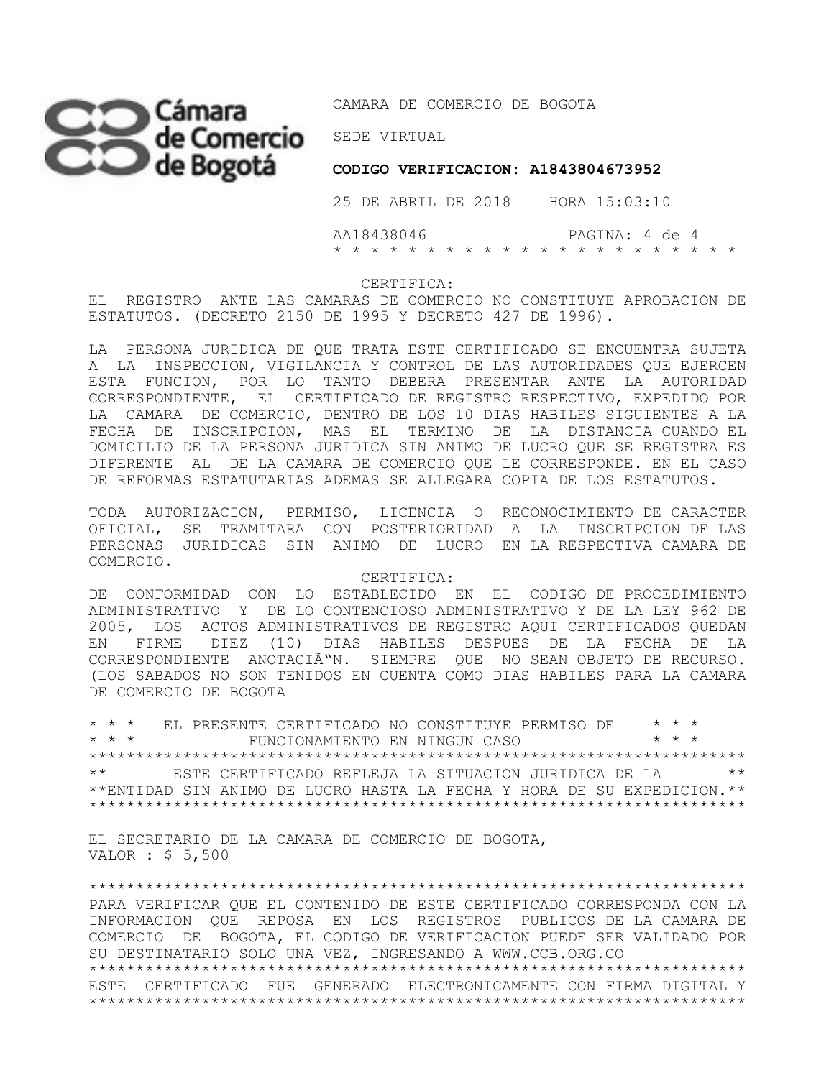

CAMARA DE COMERCIO DE BOGOTA

 **CODIGO VERIFICACION: A1843804673952**

 25 DE ABRIL DE 2018 HORA 15:03:10 AA18438046 PAGINA: 4 de 4 \* \* \* \* \* \* \* \* \* \* \* \* \* \* \* \* \* \* \* \* \* \*

#### CERTIFICA:

EL REGISTRO ANTE LAS CAMARAS DE COMERCIO NO CONSTITUYE APROBACION DE ESTATUTOS. (DECRETO 2150 DE 1995 Y DECRETO 427 DE 1996).

LA PERSONA JURIDICA DE QUE TRATA ESTE CERTIFICADO SE ENCUENTRA SUJETA A LA INSPECCION, VIGILANCIA Y CONTROL DE LAS AUTORIDADES QUE EJERCEN ESTA FUNCION, POR LO TANTO DEBERA PRESENTAR ANTE LA AUTORIDAD CORRESPONDIENTE, EL CERTIFICADO DE REGISTRO RESPECTIVO, EXPEDIDO POR LA CAMARA DE COMERCIO, DENTRO DE LOS 10 DIAS HABILES SIGUIENTES A LA FECHA DE INSCRIPCION, MAS EL TERMINO DE LA DISTANCIA CUANDO EL DOMICILIO DE LA PERSONA JURIDICA SIN ANIMO DE LUCRO QUE SE REGISTRA ES DIFERENTE AL DE LA CAMARA DE COMERCIO QUE LE CORRESPONDE. EN EL CASO DE REFORMAS ESTATUTARIAS ADEMAS SE ALLEGARA COPIA DE LOS ESTATUTOS.

TODA AUTORIZACION, PERMISO, LICENCIA O RECONOCIMIENTO DE CARACTER OFICIAL, SE TRAMITARA CON POSTERIORIDAD A LA INSCRIPCION DE LAS PERSONAS JURIDICAS SIN ANIMO DE LUCRO EN LA RESPECTIVA CAMARA DE COMERCIO.

CERTIFICA:

DE CONFORMIDAD CON LO ESTABLECIDO EN EL CODIGO DE PROCEDIMIENTO ADMINISTRATIVO Y DE LO CONTENCIOSO ADMINISTRATIVO Y DE LA LEY 962 DE 2005, LOS ACTOS ADMINISTRATIVOS DE REGISTRO AQUI CERTIFICADOS QUEDAN EN FIRME DIEZ (10) DIAS HABILES DESPUES DE LA FECHA DE LA CORRESPONDIENTE ANOTACIÃ"N. SIEMPRE QUE NO SEAN OBJETO DE RECURSO. (LOS SABADOS NO SON TENIDOS EN CUENTA COMO DIAS HABILES PARA LA CAMARA DE COMERCIO DE BOGOTA

\* \* \* EL PRESENTE CERTIFICADO NO CONSTITUYE PERMISO DE \* \* \* FUNCIONAMIENTO EN NINGUN CASO \*\*\*\*\*\*\*\*\*\*\*\*\*\*\*\*\*\*\*\*\*\*\*\*\*\*\*\*\*\*\*\*\*\*\*\*\*\*\*\*\*\*\*\*\*\*\*\*\*\*\*\*\*\*\*\*\*\*\*\*\*\*\*\*\*\*\*\*\*\* \*\* ESTE CERTIFICADO REFLEJA LA SITUACION JURIDICA DE LA \*\* \*\*ENTIDAD SIN ANIMO DE LUCRO HASTA LA FECHA Y HORA DE SU EXPEDICION.\*\* \*\*\*\*\*\*\*\*\*\*\*\*\*\*\*\*\*\*\*\*\*\*\*\*\*\*\*\*\*\*\*\*\*\*\*\*\*\*\*\*\*\*\*\*\*\*\*\*\*\*\*\*\*\*\*\*\*\*\*\*\*\*\*\*\*\*\*\*\*\*

EL SECRETARIO DE LA CAMARA DE COMERCIO DE BOGOTA, VALOR : \$ 5,500

\*\*\*\*\*\*\*\*\*\*\*\*\*\*\*\*\*\*\*\*\*\*\*\*\*\*\*\*\*\*\*\*\*\*\*\*\*\*\*\*\*\*\*\*\*\*\*\*\*\*\*\*\*\*\*\*\*\*\*\*\*\*\*\*\*\*\*\*\*\* PARA VERIFICAR QUE EL CONTENIDO DE ESTE CERTIFICADO CORRESPONDA CON LA INFORMACION QUE REPOSA EN LOS REGISTROS PUBLICOS DE LA CAMARA DE COMERCIO DE BOGOTA, EL CODIGO DE VERIFICACION PUEDE SER VALIDADO POR SU DESTINATARIO SOLO UNA VEZ, INGRESANDO A WWW.CCB.ORG.CO \*\*\*\*\*\*\*\*\*\*\*\*\*\*\*\*\*\*\*\*\*\*\*\*\*\*\*\*\*\*\*\*\*\*\*\*\*\*\*\*\*\*\*\*\*\*\*\*\*\*\*\*\*\*\*\*\*\*\*\*\*\*\*\*\*\*\*\*\*\* ESTE CERTIFICADO FUE GENERADO ELECTRONICAMENTE CON FIRMA DIGITAL Y \*\*\*\*\*\*\*\*\*\*\*\*\*\*\*\*\*\*\*\*\*\*\*\*\*\*\*\*\*\*\*\*\*\*\*\*\*\*\*\*\*\*\*\*\*\*\*\*\*\*\*\*\*\*\*\*\*\*\*\*\*\*\*\*\*\*\*\*\*\*